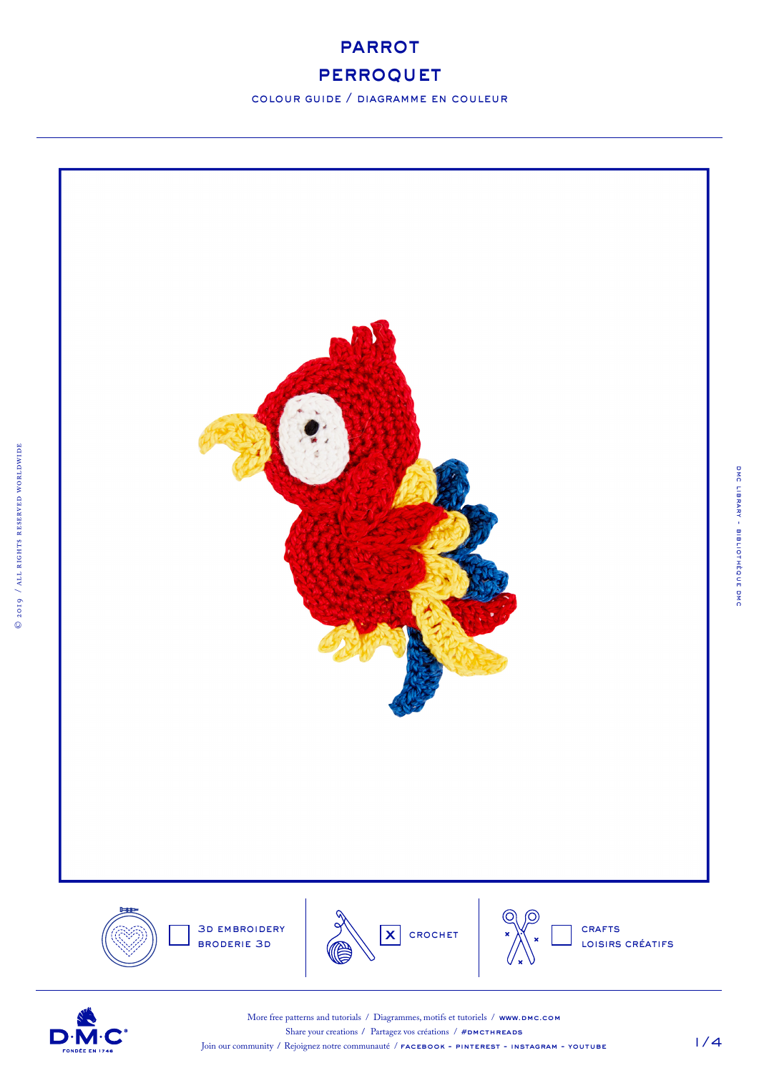

# **PERROQUET**

colour guide / diagramme en couleur



D·N



dmc library - bibliothèque dmc

DMC LIBRARY - BIBLIOTHÈQUE DMC

More free patterns and tutorials / Diagrammes, motifs et tutoriels / www.DMC.COM Share your creations / Partagez vos créations /  $#DMCTHREADS$ 

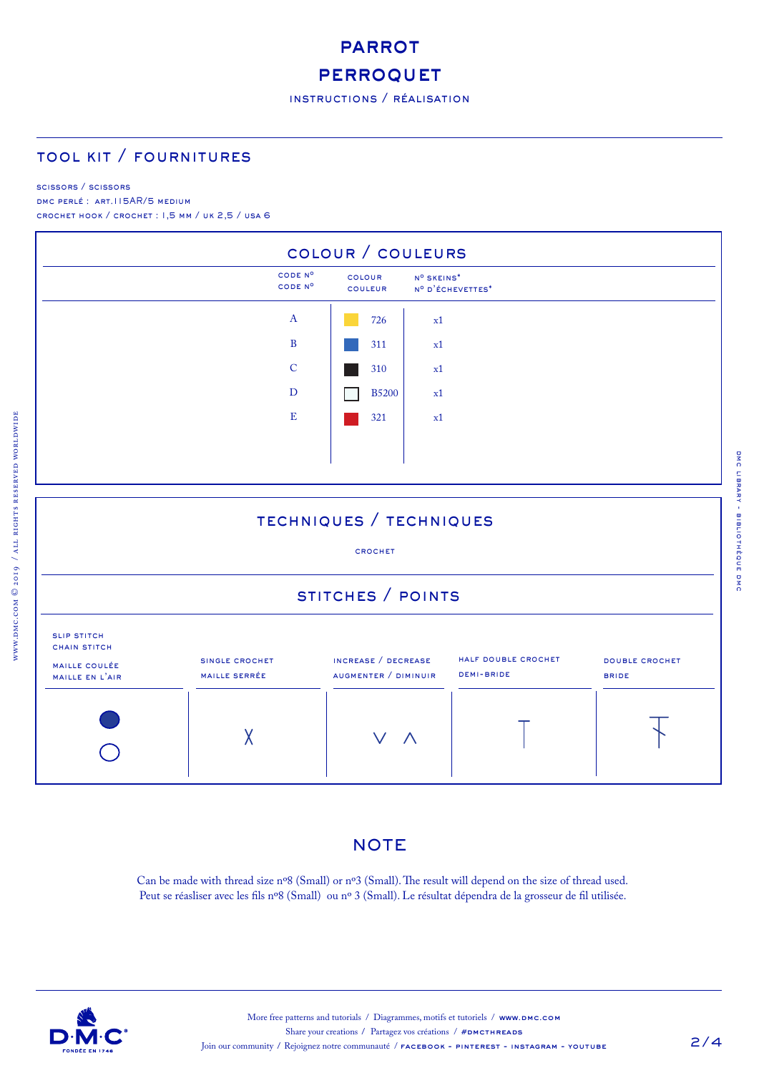# **PARROT**

# **PERROQUET**

## tool kit / fournitures

#### scissors / scissors

www.dmc.com © 2019 / all rights reserved worldwide

DMC PERLÉ : ART.115AR/5 MEDIUM crochet hook / crochet : 1,5 mm / uk 2,5 / usa 6



## techniques / techniques

#### crochet

# stitches / points



## **NOTE**

Can be made with thread size nº8 (Small) or nº3 (Small). The result will depend on the size of thread used. Peut se réasliser avec les fils nº8 (Small) ou nº 3 (Small). Le résultat dépendra de la grosseur de fil utilisée.

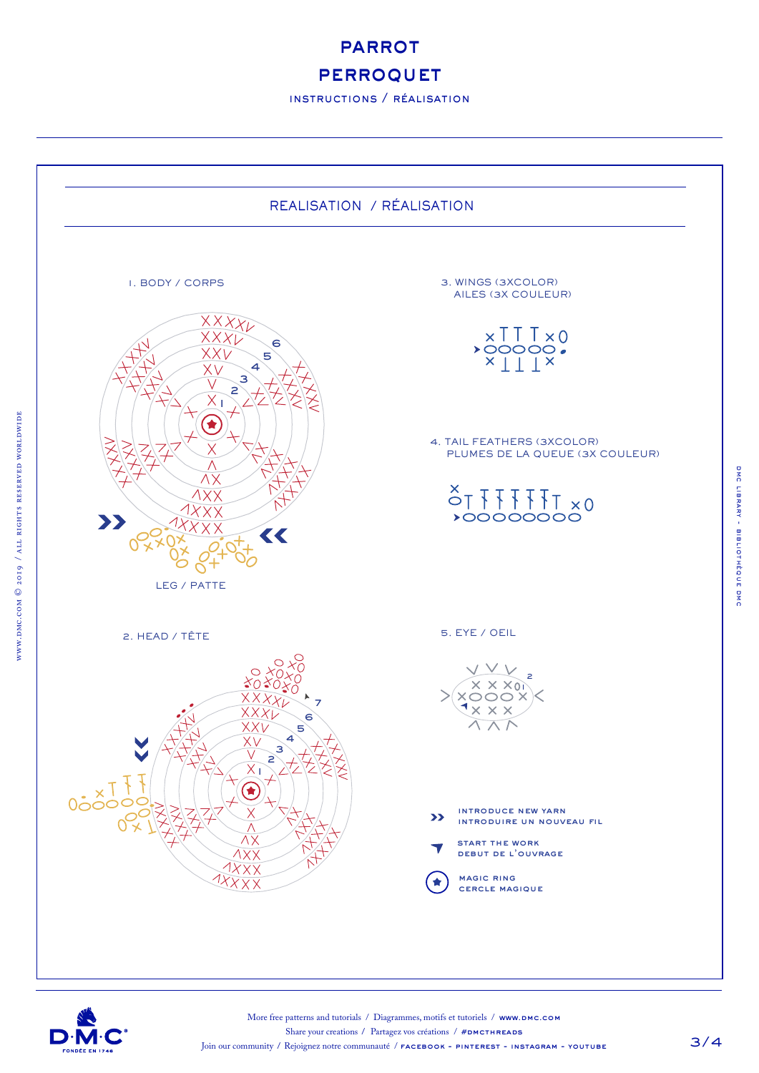**PARROT** 

# **PERROQUET**

instructions / réalisation





www.dmc.com © 2019 / all rights reserved worldwide

 $\sqrt{N}$  , which comes  $\log$  /  $\Delta$  and  $\log$  and  $\log$  . The sum  $\log$  is a  $\log$